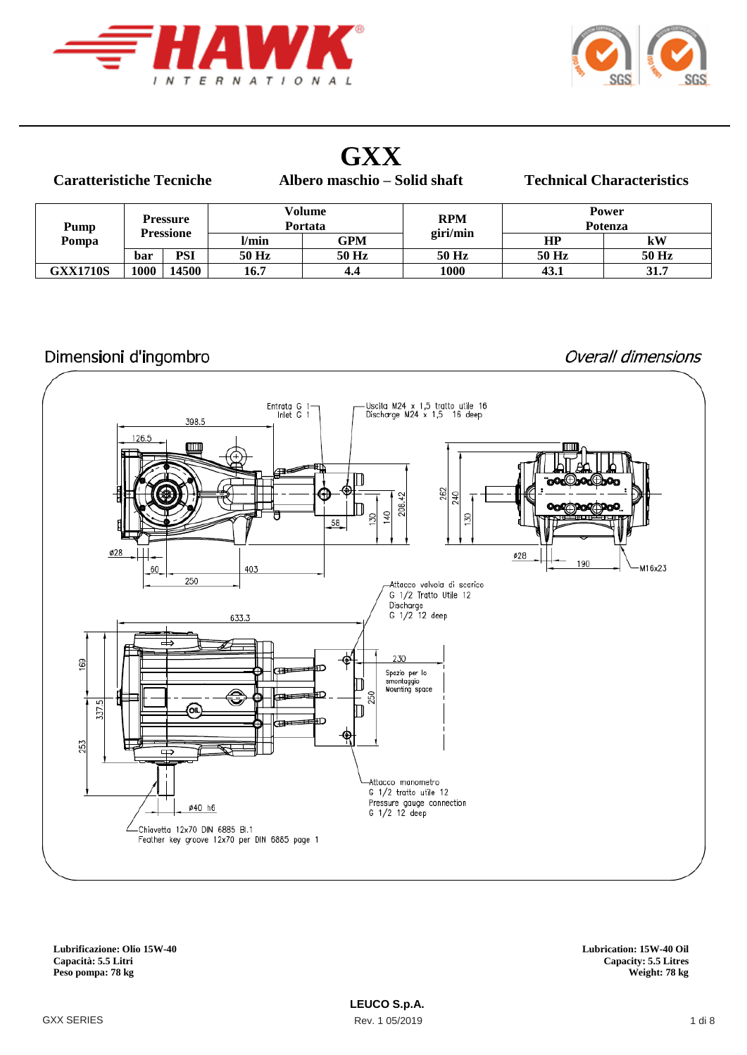



## **GXX**

#### **Caratteristiche Tecniche**

**Albero maschio – Solid shaft Technical Characteristics**

| Pump<br>Pompa   | <b>Pressure</b><br>Pressione |       | Volume<br>Portata |       | <b>RPM</b><br>giri/min | <b>Power</b><br>Potenza |       |  |
|-----------------|------------------------------|-------|-------------------|-------|------------------------|-------------------------|-------|--|
|                 |                              |       | l/min             | GPM   |                        | HP                      | kW    |  |
|                 | bar                          | PSI   | 50 Hz             | 50 Hz | 50 Hz                  | 50 Hz                   | 50 Hz |  |
| <b>GXX1710S</b> | 1000                         | 14500 | 16.7              | 4.4   | 1000                   | 43.1                    | 31.7  |  |

#### Dimensioni d'ingombro

#### Overall dimensions



**Lubrificazione: Olio 15W-40 Lubrication: 15W-40 Oil** Peso pompa: 78 kg

**Capacity: 5.5 Litres**<br>Weight: 78 kg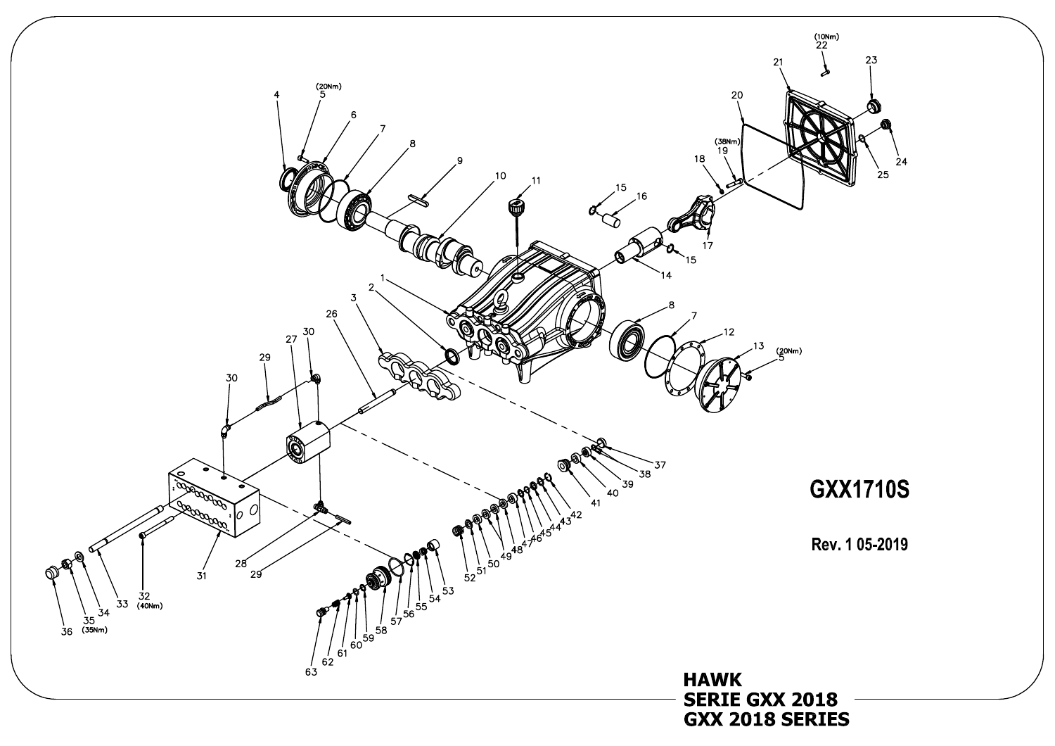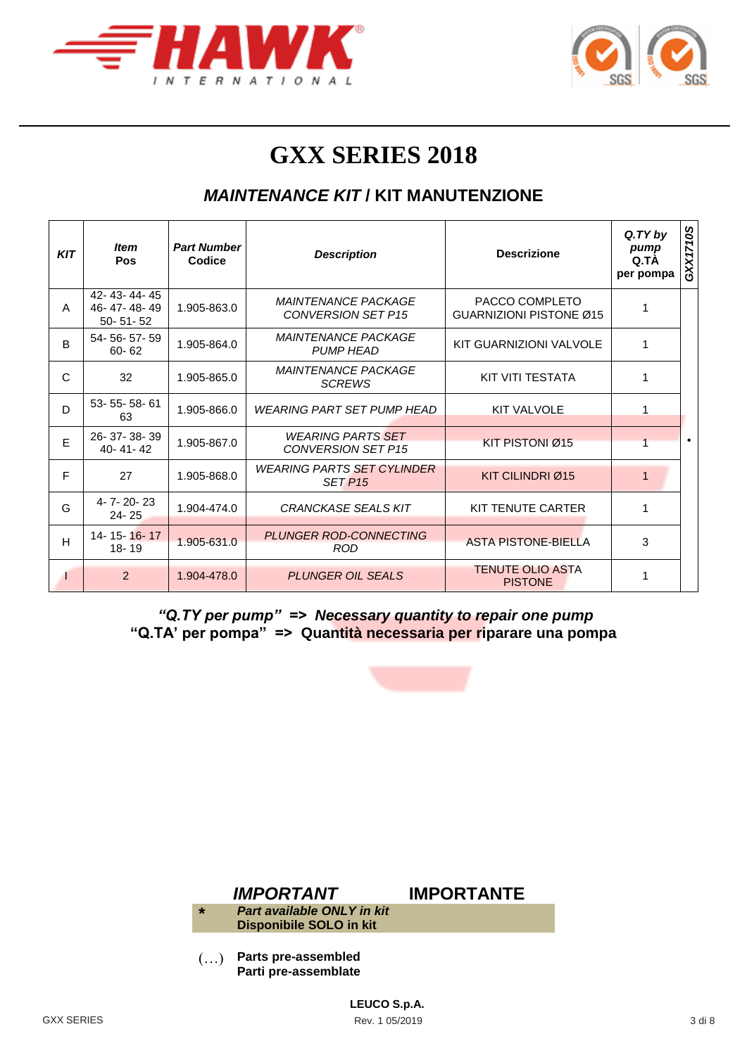



# **GXX SERIES 2018**

### *MAINTENANCE KIT* **/ KIT MANUTENZIONE**

| <b>KIT</b> | <b>Item</b><br>Pos                           | <b>Part Number</b><br>Codice | <b>Descrizione</b><br><b>Description</b>                                     |                                                  | $Q$ . $TY$ by<br>pump<br>Q.TA<br>per pompa | GXX1710S  |
|------------|----------------------------------------------|------------------------------|------------------------------------------------------------------------------|--------------------------------------------------|--------------------------------------------|-----------|
| A          | 42-43-44-45<br>46-47-48-49<br>$50 - 51 - 52$ | 1.905-863.0                  | <b>MAINTENANCE PACKAGE</b><br><b>CONVERSION SET P15</b>                      | PACCO COMPLETO<br><b>GUARNIZIONI PISTONE Ø15</b> | 1                                          |           |
| B          | 54-56-57-59<br>$60 - 62$                     | 1.905-864.0                  | <b>MAINTENANCE PACKAGE</b><br><b>PUMP HEAD</b>                               | KIT GUARNIZIONI VALVOLE                          | 1                                          |           |
| C          | 32                                           | 1.905-865.0                  | <b>MAINTENANCE PACKAGE</b><br><b>SCREWS</b>                                  | KIT VITI TESTATA                                 | 1                                          |           |
| D          | 53-55-58-61<br>63                            | 1.905-866.0                  | <b>WEARING PART SET PUMP HEAD</b>                                            | <b>KIT VALVOLE</b>                               | 1                                          |           |
| E          | 26-37-38-39<br>40-41-42                      | 1.905-867.0                  | <b>WEARING PARTS SET</b><br><b>CONVERSION SET P15</b>                        | KIT PISTONI Ø15                                  |                                            | $\bullet$ |
| F          | 27                                           | 1.905-868.0                  | <b>WEARING PARTS SET CYLINDER</b><br>KIT CILINDRI Ø15<br>SET P <sub>15</sub> |                                                  | $\mathbf{1}$                               |           |
| G          | 4-7-20-23<br>$24 - 25$                       | 1.904-474.0                  | <b>CRANCKASE SEALS KIT</b>                                                   | KIT TENUTE CARTER                                | 1                                          |           |
| H          | 14-15-16-17<br>$18 - 19$                     | 1.905-631.0                  | <b>PLUNGER ROD-CONNECTING</b><br><b>ASTA PISTONE-BIELLA</b><br>ROD.          |                                                  | 3                                          |           |
|            | 2                                            | 1.904-478.0                  | <b>TENUTE OLIO ASTA</b><br><b>PLUNGER OIL SEALS</b><br><b>PISTONE</b>        |                                                  | 1                                          |           |

*"Q.TY per pump" => Necessary quantity to repair one pump* **"Q.TA' per pompa" => Quantità necessaria per riparare una pompa**





(…) **Parts pre-assembled Parti pre-assemblate**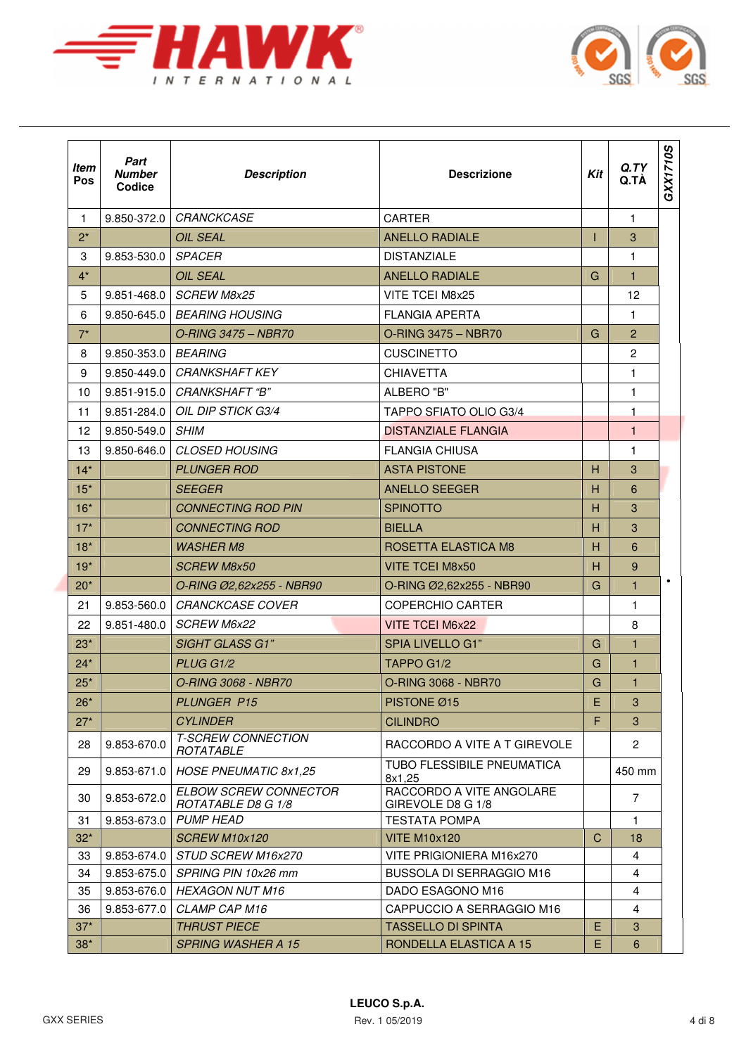



| <b>Item</b><br>Pos | Part<br><b>Number</b><br>Codice | <b>Description</b>                                 | <b>Descrizione</b>                                     |    | Q.TY<br>Q.TÀ   | GXX1710S |
|--------------------|---------------------------------|----------------------------------------------------|--------------------------------------------------------|----|----------------|----------|
| $\mathbf{1}$       | 9.850-372.0                     | CRANCKCASE                                         | <b>CARTER</b>                                          |    | $\mathbf{1}$   |          |
| $2^*$              |                                 | <b>OIL SEAL</b>                                    | <b>ANELLO RADIALE</b>                                  | Т  | 3              |          |
| 3                  | 9.853-530.0                     | <b>SPACER</b>                                      | <b>DISTANZIALE</b>                                     |    | 1              |          |
| $4^*$              |                                 | <b>OIL SEAL</b>                                    | <b>ANELLO RADIALE</b>                                  | G  | 1              |          |
| 5                  | 9.851-468.0                     | <b>SCREW M8x25</b>                                 | VITE TCEI M8x25                                        |    | 12             |          |
| 6                  | 9.850-645.0                     | <b>BEARING HOUSING</b>                             | <b>FLANGIA APERTA</b>                                  |    | $\mathbf{1}$   |          |
| $7^*$              |                                 | O-RING 3475 - NBR70                                | O-RING 3475 - NBR70                                    | G  | $\overline{2}$ |          |
| 8                  | 9.850-353.0                     | <b>BEARING</b>                                     | <b>CUSCINETTO</b>                                      |    | $\overline{2}$ |          |
| 9                  | $9.850 - 449.0$                 | <b>CRANKSHAFT KEY</b>                              | <b>CHIAVETTA</b>                                       |    | $\mathbf{1}$   |          |
| 10                 | 9.851-915.0                     | <i>CRANKSHAFT "B"</i>                              | ALBERO "B"                                             |    | 1.             |          |
| 11                 | $9.851 - 284.0$                 | OIL DIP STICK G3/4                                 | <b>TAPPO SFIATO OLIO G3/4</b>                          |    | 1              |          |
| 12                 | 9.850-549.0                     | <b>SHIM</b>                                        | <b>DISTANZIALE FLANGIA</b>                             |    | $\mathbf{1}$   |          |
| 13                 | 9.850-646.0                     | <b>CLOSED HOUSING</b>                              | <b>FLANGIA CHIUSA</b>                                  |    | 1              |          |
| $14*$              |                                 | <b>PLUNGER ROD</b>                                 | <b>ASTA PISTONE</b>                                    | н  | 3              |          |
| $15*$              |                                 | <b>SEEGER</b>                                      | <b>ANELLO SEEGER</b>                                   | н  | 6              |          |
| $16*$              |                                 | <b>CONNECTING ROD PIN</b>                          | <b>SPINOTTO</b>                                        | H  | 3              |          |
| $17*$              |                                 | <b>CONNECTING ROD</b>                              | <b>BIELLA</b>                                          | н  | 3              |          |
| $18*$              |                                 | <b>WASHER M8</b>                                   | ROSETTA ELASTICA M8                                    | н  | 6              |          |
| $19*$              |                                 | <b>SCREW M8x50</b>                                 | <b>VITE TCEI M8x50</b>                                 | H  | 9              |          |
| $20*$              |                                 | O-RING Ø2,62x255 - NBR90                           | O-RING Ø2,62x255 - NBR90                               | G  | $\mathbf{1}$   |          |
| 21                 | 9.853-560.0                     | <b>CRANCKCASE COVER</b>                            | <b>COPERCHIO CARTER</b>                                |    | $\mathbf{1}$   |          |
| 22                 | 9.851-480.0                     | <b>SCREW M6x22</b>                                 | VITE TCEI M6x22                                        |    | 8              |          |
| $23*$              |                                 | <b>SIGHT GLASS G1"</b>                             | SPIA LIVELLO G1"                                       | G  | 1              |          |
| $24*$              |                                 | PLUG G1/2                                          | TAPPO G1/2                                             | G  | $\mathbf{1}$   |          |
| $25*$              |                                 | <i>O-RING 3068 - NBR70</i>                         | O-RING 3068 - NBR70                                    | G  | $\mathbf{1}$   |          |
| $26*$              |                                 | <b>PLUNGER P15</b>                                 | PISTONE Ø15                                            | E. | 3              |          |
| $27*$              |                                 | <b>CYLINDER</b>                                    | <b>CILINDRO</b>                                        | F. | 3              |          |
| 28                 | 9.853-670.0                     | <b>T-SCREW CONNECTION</b><br>ROTATABLE             | RACCORDO A VITE A T GIREVOLE                           |    | $\overline{2}$ |          |
| 29                 | 9.853-671.0                     | <b>HOSE PNEUMATIC 8x1,25</b>                       | TUBO FLESSIBILE PNEUMATICA<br>8x1,25                   |    | 450 mm         |          |
| 30                 | 9.853-672.0                     | <b>ELBOW SCREW CONNECTOR</b><br>ROTATABLE D8 G 1/8 | RACCORDO A VITE ANGOLARE<br>GIREVOLE D8 G 1/8          |    | $\overline{7}$ |          |
| 31                 | 9.853-673.0                     | <b>PUMP HEAD</b>                                   | <b>TESTATA POMPA</b>                                   |    | $\mathbf{1}$   |          |
| $32*$              |                                 | <b>SCREW M10x120</b>                               | <b>VITE M10x120</b>                                    | С  | 18             |          |
| 33                 | 9.853-674.0                     | <b>STUD SCREW M16x270</b>                          | VITE PRIGIONIERA M16x270                               |    | $\overline{4}$ |          |
| 34                 | 9.853-675.0                     | SPRING PIN 10x26 mm                                | <b>BUSSOLA DI SERRAGGIO M16</b>                        |    | 4              |          |
| 35                 | 9.853-676.0                     | <b>HEXAGON NUT M16</b>                             | DADO ESAGONO M16                                       |    | $\overline{4}$ |          |
| 36<br>$37*$        | 9.853-677.0                     | CLAMP CAP M16<br><b>THRUST PIECE</b>               | CAPPUCCIO A SERRAGGIO M16<br><b>TASSELLO DI SPINTA</b> | E  | 4<br>3         |          |
| $38*$              |                                 | <b>SPRING WASHER A 15</b>                          | RONDELLA ELASTICA A 15                                 | E. | 6              |          |
|                    |                                 |                                                    |                                                        |    |                |          |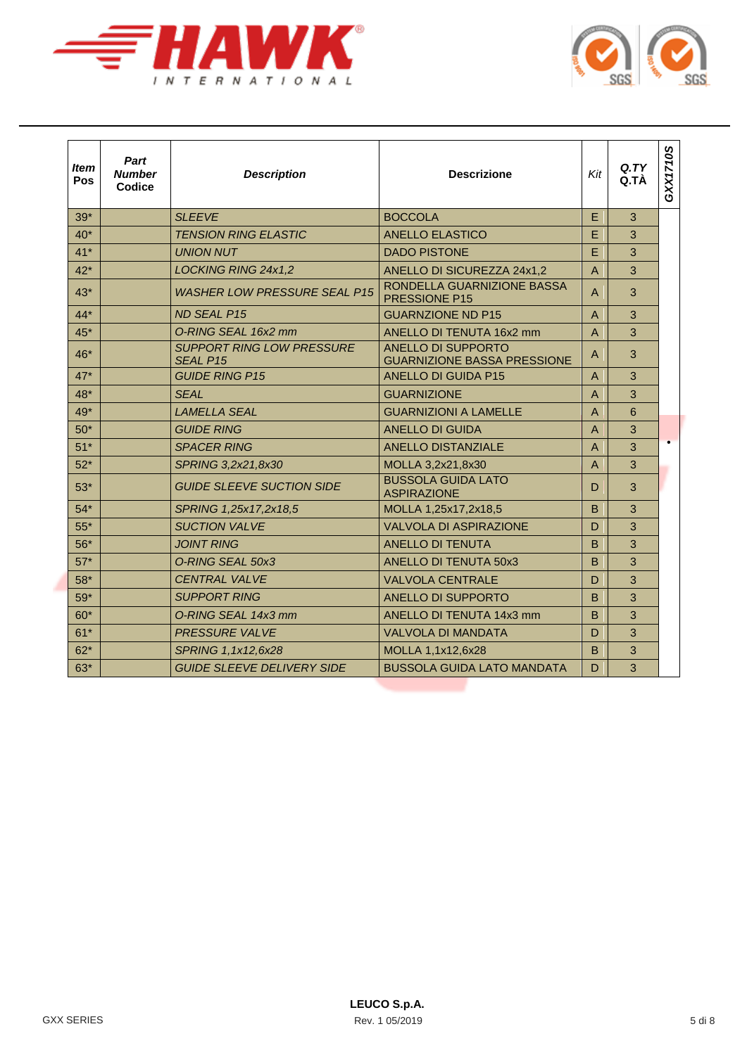



| <b>Item</b><br>Pos | Part<br><b>Number</b><br>Codice | <b>Description</b>                                  | <b>Descrizione</b>                                              | Kit            | Q <sub>T</sub> Y<br>Q.TÀ | GXX1710S  |
|--------------------|---------------------------------|-----------------------------------------------------|-----------------------------------------------------------------|----------------|--------------------------|-----------|
| $39*$              |                                 | <b>SLEEVE</b>                                       | <b>BOCCOLA</b>                                                  | E              | 3                        |           |
| $40*$              |                                 | <b>TENSION RING ELASTIC</b>                         | <b>ANELLO ELASTICO</b>                                          | E              | 3                        |           |
| $41*$              |                                 | <b>UNION NUT</b>                                    | <b>DADO PISTONE</b>                                             | E              | 3                        |           |
| $42*$              |                                 | LOCKING RING 24x1,2                                 | ANELLO DI SICUREZZA 24x1,2                                      | $\overline{A}$ | 3                        |           |
| $43*$              |                                 | <b>WASHER LOW PRESSURE SEAL P15</b>                 | RONDELLA GUARNIZIONE BASSA<br>PRESSIONE P15                     | A              | 3                        |           |
| $44*$              |                                 | ND SEAL P15                                         | <b>GUARNZIONE ND P15</b>                                        | $\overline{A}$ | 3                        |           |
| $45*$              |                                 | O-RING SEAL 16x2 mm                                 | ANELLO DI TENUTA 16x2 mm                                        | $\overline{A}$ | 3                        |           |
| $46*$              |                                 | <b>SUPPORT RING LOW PRESSURE</b><br><b>SEAL P15</b> | <b>ANELLO DI SUPPORTO</b><br><b>GUARNIZIONE BASSA PRESSIONE</b> | A              | 3                        |           |
| $47*$              |                                 | <b>GUIDE RING P15</b>                               | <b>ANELLO DI GUIDA P15</b>                                      | A              | 3                        |           |
| 48*                |                                 | <b>SFAI</b>                                         | <b>GUARNIZIONE</b>                                              | $\overline{A}$ | 3                        |           |
| 49*                |                                 | <b>LAMELLA SEAL</b>                                 | <b>GUARNIZIONI A LAMELLE</b>                                    | $\overline{A}$ | 6                        |           |
| $50*$              |                                 | <b>GUIDE RING</b>                                   | <b>ANELLO DI GUIDA</b>                                          | $\overline{A}$ | 3                        |           |
| $51*$              |                                 | <b>SPACER RING</b>                                  | <b>ANELLO DISTANZIALE</b>                                       | $\overline{A}$ | 3                        | $\bullet$ |
| $52*$              |                                 | SPRING 3,2x21,8x30                                  | MOLLA 3,2x21,8x30                                               | $\overline{A}$ | 3                        |           |
| $53*$              |                                 | <b>GUIDE SLEEVE SUCTION SIDE</b>                    | <b>BUSSOLA GUIDA LATO</b><br><b>ASPIRAZIONE</b>                 | D              | 3                        |           |
| $54*$              |                                 | SPRING 1,25x17,2x18,5                               | MOLLA 1,25x17,2x18,5                                            | B              | 3                        |           |
| $55*$              |                                 | <b>SUCTION VALVE</b>                                | <b>VALVOLA DI ASPIRAZIONE</b>                                   | D              | 3                        |           |
| $56*$              |                                 | <b>JOINT RING</b>                                   | <b>ANELLO DI TENUTA</b>                                         | B              | 3                        |           |
| $57*$              |                                 | O-RING SEAL 50x3                                    | <b>ANELLO DI TENUTA 50x3</b>                                    | B              | 3                        |           |
| $58*$              |                                 | <b>CENTRAL VALVE</b>                                | <b>VALVOLA CENTRALE</b>                                         | D              | 3                        |           |
| $59*$              |                                 | <b>SUPPORT RING</b>                                 | <b>ANELLO DI SUPPORTO</b>                                       | B              | 3                        |           |
| $60*$              |                                 | O-RING SEAL 14x3 mm                                 | ANELLO DI TENUTA 14x3 mm                                        | B              | 3                        |           |
| $61*$              |                                 | <b>PRESSURE VALVE</b>                               | <b>VALVOLA DI MANDATA</b>                                       | D              | 3                        |           |
| $62*$              |                                 | SPRING 1,1x12,6x28                                  | MOLLA 1,1x12,6x28                                               | B              | 3                        |           |
| $63*$              |                                 | <b>GUIDE SLEEVE DELIVERY SIDE</b>                   | <b>BUSSOLA GUIDA LATO MANDATA</b>                               | D              | 3                        |           |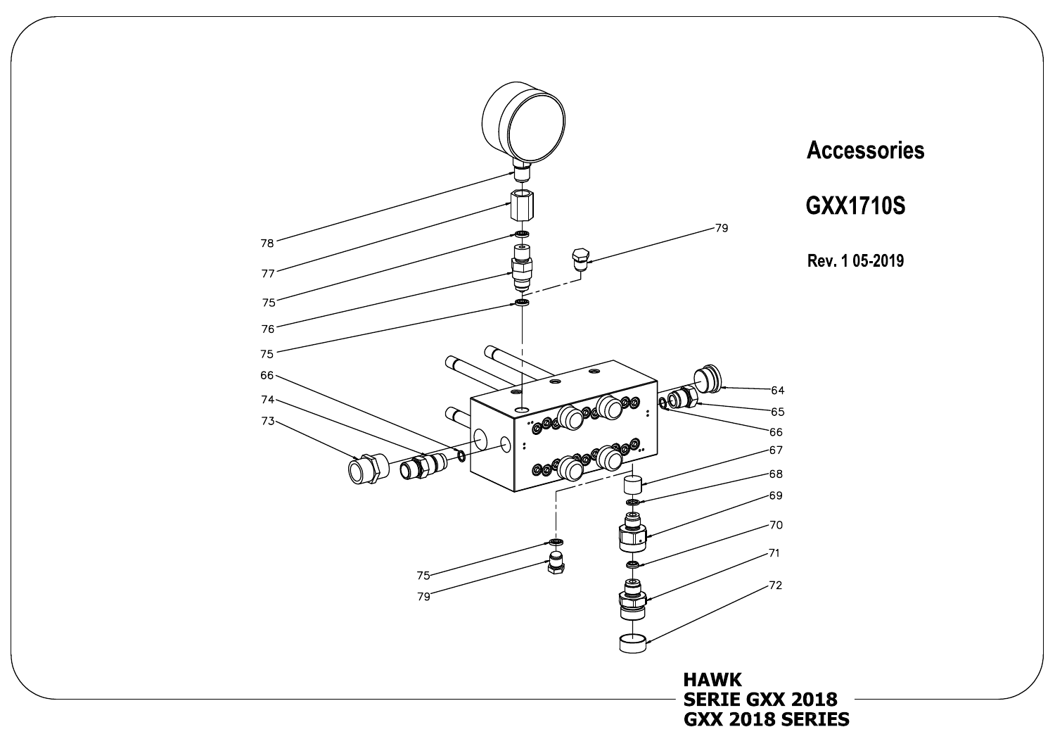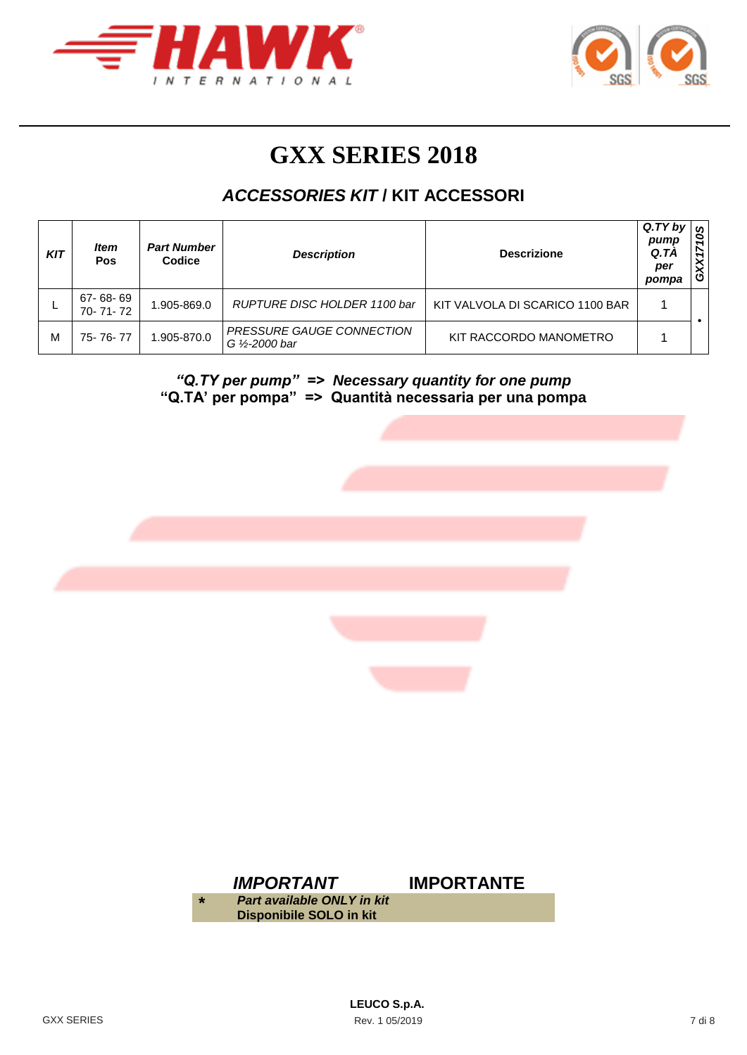



# **GXX SERIES 2018**

## *ACCESSORIES KIT* **/ KIT ACCESSORI**

| <b>KIT</b> | ltem<br><b>Pos</b>   | <b>Part Number</b><br>Codice | <b>Description</b>                          | <b>Descrizione</b>              | Q.TY by<br>pump<br>Q.TA<br>per<br>pompa | S<br>0<br>↖<br>õ |
|------------|----------------------|------------------------------|---------------------------------------------|---------------------------------|-----------------------------------------|------------------|
|            | 67-68-69<br>70-71-72 | 1.905-869.0                  | RUPTURE DISC HOLDER 1100 bar                | KIT VALVOLA DI SCARICO 1100 BAR |                                         |                  |
| М          | 75-76-77             | 1.905-870.0                  | PRESSURE GAUGE CONNECTION<br>G 1/2-2000 bar | KIT RACCORDO MANOMETRO          |                                         |                  |

*"Q.TY per pump" => Necessary quantity for one pump* **"Q.TA' per pompa" => Quantità necessaria per una pompa**